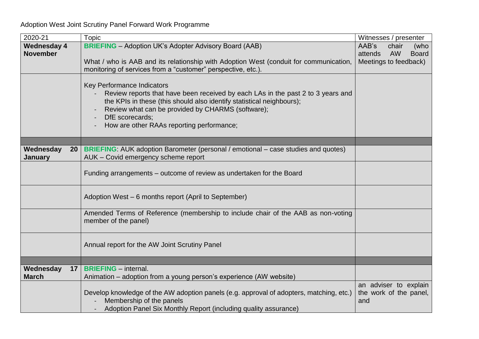## Adoption West Joint Scrutiny Panel Forward Work Programme

| 2020-21                                 | <b>Topic</b>                                                                                                                                                                                                                                                                                                | Witnesses / presenter                                                                   |
|-----------------------------------------|-------------------------------------------------------------------------------------------------------------------------------------------------------------------------------------------------------------------------------------------------------------------------------------------------------------|-----------------------------------------------------------------------------------------|
| <b>Wednesday 4</b><br><b>November</b>   | <b>BRIEFING</b> – Adoption UK's Adopter Advisory Board (AAB)<br>What / who is AAB and its relationship with Adoption West (conduit for communication,<br>monitoring of services from a "customer" perspective, etc.).                                                                                       | AAB's<br>chair<br>(who<br><b>AW</b><br><b>Board</b><br>attends<br>Meetings to feedback) |
|                                         | Key Performance Indicators<br>Review reports that have been received by each LAs in the past 2 to 3 years and<br>the KPIs in these (this should also identify statistical neighbours);<br>Review what can be provided by CHARMS (software);<br>DfE scorecards;<br>How are other RAAs reporting performance; |                                                                                         |
|                                         |                                                                                                                                                                                                                                                                                                             |                                                                                         |
| Wednesday<br>20 <sub>2</sub><br>January | BRIEFING: AUK adoption Barometer (personal / emotional – case studies and quotes)<br>AUK - Covid emergency scheme report                                                                                                                                                                                    |                                                                                         |
|                                         | Funding arrangements – outcome of review as undertaken for the Board                                                                                                                                                                                                                                        |                                                                                         |
|                                         | Adoption West - 6 months report (April to September)                                                                                                                                                                                                                                                        |                                                                                         |
|                                         | Amended Terms of Reference (membership to include chair of the AAB as non-voting<br>member of the panel)                                                                                                                                                                                                    |                                                                                         |
|                                         | Annual report for the AW Joint Scrutiny Panel                                                                                                                                                                                                                                                               |                                                                                         |
|                                         |                                                                                                                                                                                                                                                                                                             |                                                                                         |
| Wednesday<br>17<br><b>March</b>         | <b>BRIEFING</b> - internal.<br>Animation – adoption from a young person's experience (AW website)                                                                                                                                                                                                           |                                                                                         |
|                                         | Develop knowledge of the AW adoption panels (e.g. approval of adopters, matching, etc.)<br>Membership of the panels<br>Adoption Panel Six Monthly Report (including quality assurance)                                                                                                                      | an adviser to explain<br>the work of the panel,<br>and                                  |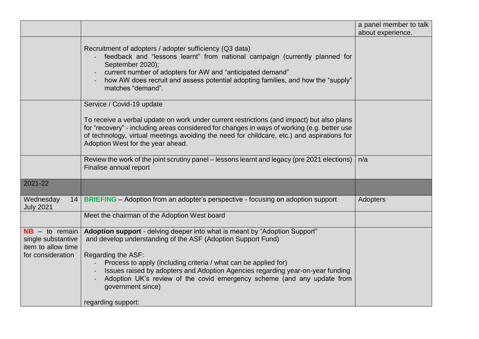|                                                                                   |                                                                                                                                                                                                                                                                                                                                                                                                                                                               | a panel member to talk |
|-----------------------------------------------------------------------------------|---------------------------------------------------------------------------------------------------------------------------------------------------------------------------------------------------------------------------------------------------------------------------------------------------------------------------------------------------------------------------------------------------------------------------------------------------------------|------------------------|
|                                                                                   |                                                                                                                                                                                                                                                                                                                                                                                                                                                               | about experience.      |
|                                                                                   | Recruitment of adopters / adopter sufficiency (Q3 data)<br>feedback and "lessons learnt" from national campaign (currently planned for<br>September 2020);<br>current number of adopters for AW and "anticipated demand"<br>how AW does recruit and assess potential adopting families, and how the "supply"<br>matches "demand".                                                                                                                             |                        |
|                                                                                   | Service / Covid-19 update                                                                                                                                                                                                                                                                                                                                                                                                                                     |                        |
|                                                                                   | To receive a verbal update on work under current restrictions (and impact) but also plans<br>for "recovery" - including areas considered for changes in ways of working (e.g. better use<br>of technology, virtual meetings avoiding the need for childcare, etc.) and aspirations for<br>Adoption West for the year ahead.                                                                                                                                   |                        |
|                                                                                   | Review the work of the joint scrutiny panel - lessons learnt and legacy (pre 2021 elections)<br>Finalise annual report                                                                                                                                                                                                                                                                                                                                        | n/a                    |
| 2021-22                                                                           |                                                                                                                                                                                                                                                                                                                                                                                                                                                               |                        |
| Wednesday<br><b>July 2021</b>                                                     | 14   BRIEFING – Adoption from an adopter's perspective - focusing on adoption support                                                                                                                                                                                                                                                                                                                                                                         | Adopters               |
|                                                                                   | Meet the chairman of the Adoption West board                                                                                                                                                                                                                                                                                                                                                                                                                  |                        |
| $NB - to remain$<br>single substantive<br>item to allow time<br>for consideration | Adoption support - delving deeper into what is meant by "Adoption Support"<br>and develop understanding of the ASF (Adoption Support Fund)<br>Regarding the ASF:<br>Process to apply (including criteria / what can be applied for)<br>Issues raised by adopters and Adoption Agencies regarding year-on-year funding<br>Adoption UK's review of the covid emergency scheme (and any update from<br>$\blacksquare$<br>government since)<br>regarding support: |                        |
|                                                                                   |                                                                                                                                                                                                                                                                                                                                                                                                                                                               |                        |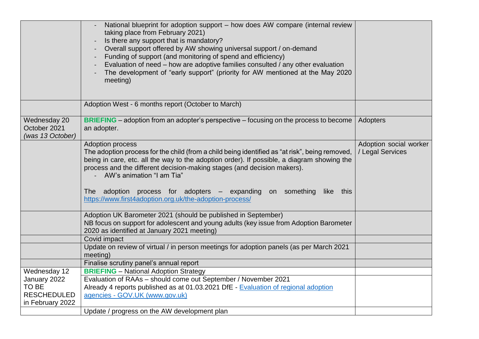|                                                                                 | National blueprint for adoption support - how does AW compare (internal review<br>taking place from February 2021)<br>Is there any support that is mandatory?<br>Overall support offered by AW showing universal support / on-demand<br>Funding of support (and monitoring of spend and efficiency)<br>Evaluation of need – how are adoptive families consulted / any other evaluation<br>The development of "early support" (priority for AW mentioned at the May 2020<br>meeting) |                                            |
|---------------------------------------------------------------------------------|-------------------------------------------------------------------------------------------------------------------------------------------------------------------------------------------------------------------------------------------------------------------------------------------------------------------------------------------------------------------------------------------------------------------------------------------------------------------------------------|--------------------------------------------|
|                                                                                 | Adoption West - 6 months report (October to March)                                                                                                                                                                                                                                                                                                                                                                                                                                  |                                            |
| Wednesday 20<br>October 2021<br>(was 13 October)                                | <b>BRIEFING</b> – adoption from an adopter's perspective – focusing on the process to become<br>an adopter.                                                                                                                                                                                                                                                                                                                                                                         | Adopters                                   |
|                                                                                 | <b>Adoption process</b><br>The adoption process for the child (from a child being identified as "at risk", being removed,<br>being in care, etc. all the way to the adoption order). If possible, a diagram showing the<br>process and the different decision-making stages (and decision makers).<br>- AW's animation "I am Tia"<br>The adoption process for adopters – expanding on something like this<br>https://www.first4adoption.org.uk/the-adoption-process/                | Adoption social worker<br>/ Legal Services |
|                                                                                 | Adoption UK Barometer 2021 (should be published in September)<br>NB focus on support for adolescent and young adults (key issue from Adoption Barometer<br>2020 as identified at January 2021 meeting)                                                                                                                                                                                                                                                                              |                                            |
|                                                                                 | Covid impact<br>Update on review of virtual / in person meetings for adoption panels (as per March 2021<br>meeting)                                                                                                                                                                                                                                                                                                                                                                 |                                            |
|                                                                                 | Finalise scrutiny panel's annual report                                                                                                                                                                                                                                                                                                                                                                                                                                             |                                            |
| Wednesday 12<br>January 2022<br>TO BE<br><b>RESCHEDULED</b><br>in February 2022 | <b>BRIEFING</b> - National Adoption Strategy<br>Evaluation of RAAs - should come out September / November 2021<br>Already 4 reports published as at 01.03.2021 DfE - Evaluation of regional adoption<br>agencies - GOV.UK (www.gov.uk)                                                                                                                                                                                                                                              |                                            |
|                                                                                 | Update / progress on the AW development plan                                                                                                                                                                                                                                                                                                                                                                                                                                        |                                            |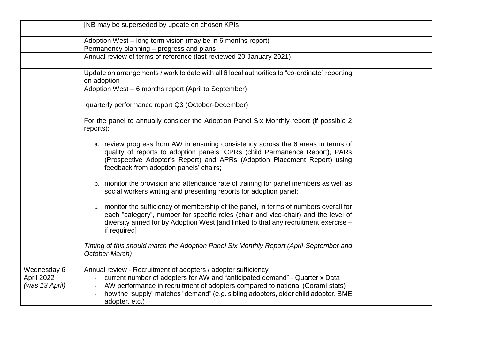|                                             | [NB may be superseded by update on chosen KPIs]                                                                                                                                                                                                                                                                                       |  |
|---------------------------------------------|---------------------------------------------------------------------------------------------------------------------------------------------------------------------------------------------------------------------------------------------------------------------------------------------------------------------------------------|--|
|                                             | Adoption West – long term vision (may be in 6 months report)<br>Permanency planning - progress and plans                                                                                                                                                                                                                              |  |
|                                             | Annual review of terms of reference (last reviewed 20 January 2021)                                                                                                                                                                                                                                                                   |  |
|                                             | Update on arrangements / work to date with all 6 local authorities to "co-ordinate" reporting<br>on adoption                                                                                                                                                                                                                          |  |
|                                             | Adoption West - 6 months report (April to September)                                                                                                                                                                                                                                                                                  |  |
|                                             | quarterly performance report Q3 (October-December)                                                                                                                                                                                                                                                                                    |  |
|                                             | For the panel to annually consider the Adoption Panel Six Monthly report (if possible 2<br>reports):                                                                                                                                                                                                                                  |  |
|                                             | a. review progress from AW in ensuring consistency across the 6 areas in terms of<br>quality of reports to adoption panels: CPRs (child Permanence Report), PARs<br>(Prospective Adopter's Report) and APRs (Adoption Placement Report) using<br>feedback from adoption panels' chairs;                                               |  |
|                                             | b. monitor the provision and attendance rate of training for panel members as well as<br>social workers writing and presenting reports for adoption panel;                                                                                                                                                                            |  |
|                                             | c. monitor the sufficiency of membership of the panel, in terms of numbers overall for<br>each "category", number for specific roles (chair and vice-chair) and the level of<br>diversity aimed for by Adoption West [and linked to that any recruitment exercise –<br>if required]                                                   |  |
|                                             | Timing of this should match the Adoption Panel Six Monthly Report (April-September and<br>October-March)                                                                                                                                                                                                                              |  |
| Wednesday 6<br>April 2022<br>(was 13 April) | Annual review - Recruitment of adopters / adopter sufficiency<br>current number of adopters for AW and "anticipated demand" - Quarter x Data<br>AW performance in recruitment of adopters compared to national (Coraml stats)<br>how the "supply" matches "demand" (e.g. sibling adopters, older child adopter, BME<br>adopter, etc.) |  |